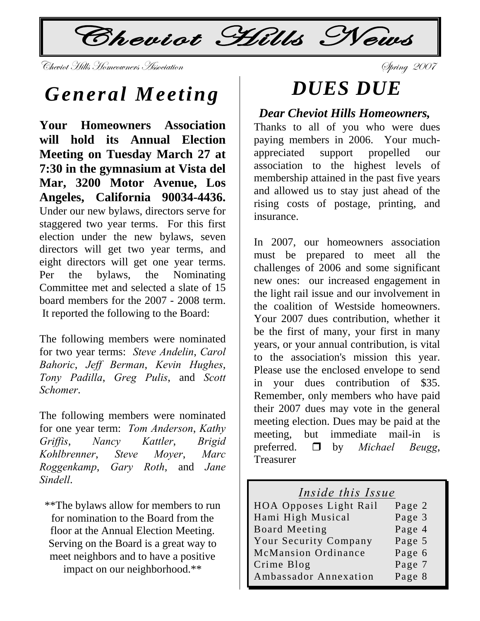$\mathcal{L}$ Cheviot Hills News

V{xä|Éà [|ÄÄá [ÉÅxÉãÇxÜá TááÉv|tà|ÉÇ fÑÜ|Çz ECCJ

## *General Meeting*

**Your Homeowners Association will hold its Annual Election Meeting on Tuesday March 27 at 7:30 in the gymnasium at Vista del Mar, 3200 Motor Avenue, Los Angeles, California 90034-4436.**  Under our new bylaws, directors serve for staggered two year terms. For this first election under the new bylaws, seven directors will get two year terms, and eight directors will get one year terms. Per the bylaws, the Nominating Committee met and selected a slate of 15 board members for the 2007 - 2008 term. It reported the following to the Board:

The following members were nominated for two year terms: *Steve Andelin*, *Carol Bahoric*, *Jeff Berman*, *Kevin Hughes*, *Tony Padilla*, *Greg Pulis*, and *Scott Schomer*.

The following members were nominated for one year term: *Tom Anderson*, *Kathy Griffis*, *Nancy Kattler*, *Brigid Kohlbrenner*, *Steve Moyer*, *Marc Roggenkamp*, *Gary Roth*, and *Jane Sindell*.

\*\*The bylaws allow for members to run for nomination to the Board from the floor at the Annual Election Meeting. Serving on the Board is a great way to meet neighbors and to have a positive impact on our neighborhood.\*\*

# *DUES DUE*

#### *Dear Cheviot Hills Homeowners,*

Thanks to all of you who were dues paying members in 2006. Your muchappreciated support propelled our association to the highest levels of membership attained in the past five years and allowed us to stay just ahead of the rising costs of postage, printing, and insurance.

In 2007, our homeowners association must be prepared to meet all the challenges of 2006 and some significant new ones: our increased engagement in the light rail issue and our involvement in the coalition of Westside homeowners. Your 2007 dues contribution, whether it be the first of many, your first in many years, or your annual contribution, is vital to the association's mission this year. Please use the enclosed envelope to send in your dues contribution of \$35. Remember, only members who have paid their 2007 dues may vote in the general meeting election. Dues may be paid at the meeting, but immediate mail-in is preferred.  $\Box$  by *Michael Beugg*, Treasurer

#### *Inside this Issue*

| <b>HOA Opposes Light Rail</b> | Page 2 |
|-------------------------------|--------|
| Hami High Musical             | Page 3 |
| <b>Board Meeting</b>          | Page 4 |
| Your Security Company         | Page 5 |
| McMansion Ordinance           | Page 6 |
| Crime Blog                    | Page 7 |
| Ambassador Annexation         | Page 8 |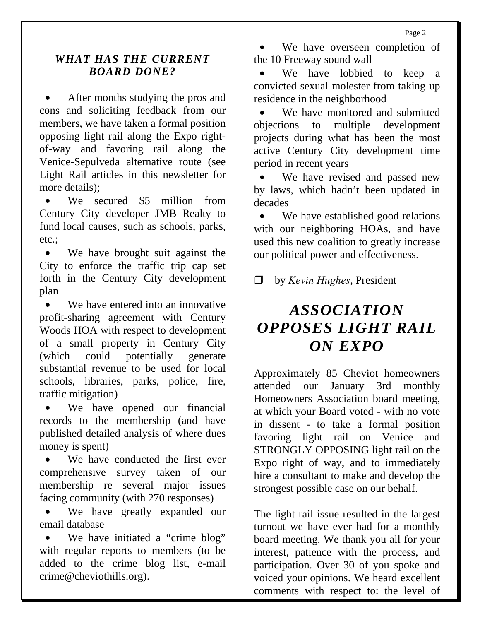Page 2

#### *WHAT HAS THE CURRENT BOARD DONE?*

After months studying the pros and cons and soliciting feedback from our members, we have taken a formal position opposing light rail along the Expo rightof-way and favoring rail along the Venice-Sepulveda alternative route (see Light Rail articles in this newsletter for more details);

We secured \$5 million from Century City developer JMB Realty to fund local causes, such as schools, parks, etc.;

• We have brought suit against the City to enforce the traffic trip cap set forth in the Century City development plan

• We have entered into an innovative profit-sharing agreement with Century Woods HOA with respect to development of a small property in Century City (which could potentially generate substantial revenue to be used for local schools, libraries, parks, police, fire, traffic mitigation)

• We have opened our financial records to the membership (and have published detailed analysis of where dues money is spent)

• We have conducted the first ever comprehensive survey taken of our membership re several major issues facing community (with 270 responses)

• We have greatly expanded our email database

• We have initiated a "crime blog" with regular reports to members (to be added to the crime blog list, e-mail crime@cheviothills.org).

We have overseen completion of the 10 Freeway sound wall

• We have lobbied to keep a convicted sexual molester from taking up residence in the neighborhood

We have monitored and submitted objections to multiple development projects during what has been the most active Century City development time period in recent years

We have revised and passed new by laws, which hadn't been updated in decades

We have established good relations with our neighboring HOAs, and have used this new coalition to greatly increase our political power and effectiveness.

by *Kevin Hughes*, President

## *ASSOCIATION OPPOSES LIGHT RAIL ON EXPO*

Approximately 85 Cheviot homeowners attended our January 3rd monthly Homeowners Association board meeting, at which your Board voted - with no vote in dissent - to take a formal position favoring light rail on Venice and STRONGLY OPPOSING light rail on the Expo right of way, and to immediately hire a consultant to make and develop the strongest possible case on our behalf.

The light rail issue resulted in the largest turnout we have ever had for a monthly board meeting. We thank you all for your interest, patience with the process, and participation. Over 30 of you spoke and voiced your opinions. We heard excellent comments with respect to: the level of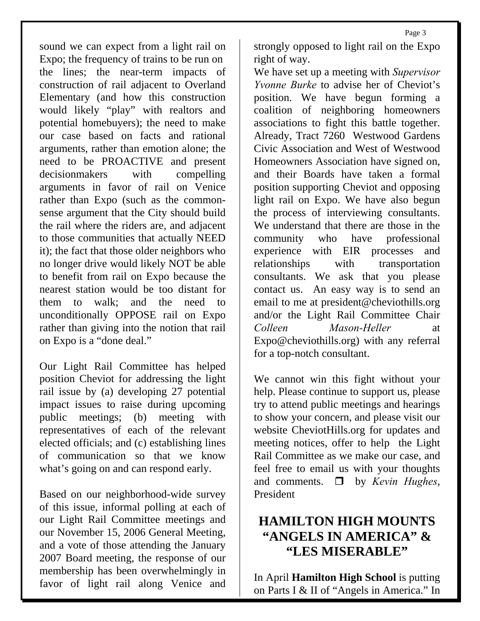sound we can expect from a light rail on Expo; the frequency of trains to be run on the lines; the near-term impacts of construction of rail adjacent to Overland Elementary (and how this construction would likely "play" with realtors and potential homebuyers); the need to make our case based on facts and rational arguments, rather than emotion alone; the need to be PROACTIVE and present decisionmakers with compelling arguments in favor of rail on Venice rather than Expo (such as the commonsense argument that the City should build the rail where the riders are, and adjacent to those communities that actually NEED it); the fact that those older neighbors who no longer drive would likely NOT be able to benefit from rail on Expo because the nearest station would be too distant for them to walk; and the need to unconditionally OPPOSE rail on Expo rather than giving into the notion that rail on Expo is a "done deal."

Our Light Rail Committee has helped position Cheviot for addressing the light rail issue by (a) developing 27 potential impact issues to raise during upcoming public meetings; (b) meeting with representatives of each of the relevant elected officials; and (c) establishing lines of communication so that we know what's going on and can respond early.

Based on our neighborhood-wide survey of this issue, informal polling at each of our Light Rail Committee meetings and our November 15, 2006 General Meeting, and a vote of those attending the January 2007 Board meeting, the response of our membership has been overwhelmingly in favor of light rail along Venice and strongly opposed to light rail on the Expo right of way.

We have set up a meeting with *Supervisor Yvonne Burke* to advise her of Cheviot's position. We have begun forming a coalition of neighboring homeowners associations to fight this battle together. Already, Tract 7260 Westwood Gardens Civic Association and West of Westwood Homeowners Association have signed on, and their Boards have taken a formal position supporting Cheviot and opposing light rail on Expo. We have also begun the process of interviewing consultants. We understand that there are those in the community who have professional experience with EIR processes and relationships with transportation consultants. We ask that you please contact us. An easy way is to send an email to me at president@cheviothills.org and/or the Light Rail Committee Chair *Colleen Mason-Heller* at Expo@cheviothills.org) with any referral for a top-notch consultant.

We cannot win this fight without your help. Please continue to support us, please try to attend public meetings and hearings to show your concern, and please visit our website CheviotHills.org for updates and meeting notices, offer to help the Light Rail Committee as we make our case, and feel free to email us with your thoughts and comments.  $\Box$  by *Kevin Hughes*, President

### **HAMILTON HIGH MOUNTS "ANGELS IN AMERICA" & "LES MISERABLE"**

In April **Hamilton High School** is putting on Parts I & II of "Angels in America." In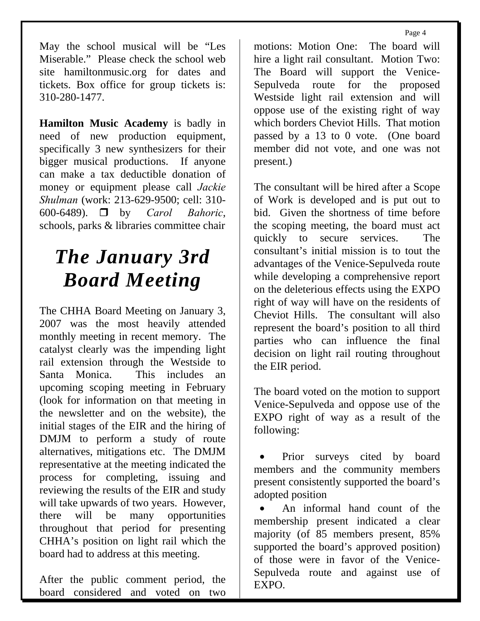Page 4

May the school musical will be "Les Miserable." Please check the school web site hamiltonmusic.org for dates and tickets. Box office for group tickets is: 310-280-1477.

**Hamilton Music Academy** is badly in need of new production equipment, specifically 3 new synthesizers for their bigger musical productions. If anyone can make a tax deductible donation of money or equipment please call *Jackie Shulman* (work: 213-629-9500; cell: 310- 600-6489). by *Carol Bahoric*, schools, parks & libraries committee chair

## *The January 3rd Board Meeting*

The CHHA Board Meeting on January 3, 2007 was the most heavily attended monthly meeting in recent memory. The catalyst clearly was the impending light rail extension through the Westside to Santa Monica. This includes an upcoming scoping meeting in February (look for information on that meeting in the newsletter and on the website), the initial stages of the EIR and the hiring of DMJM to perform a study of route alternatives, mitigations etc. The DMJM representative at the meeting indicated the process for completing, issuing and reviewing the results of the EIR and study will take upwards of two years. However, there will be many opportunities throughout that period for presenting CHHA's position on light rail which the board had to address at this meeting.

After the public comment period, the board considered and voted on two

motions: Motion One: The board will hire a light rail consultant. Motion Two: The Board will support the Venice-Sepulveda route for the proposed Westside light rail extension and will oppose use of the existing right of way which borders Cheviot Hills. That motion passed by a 13 to 0 vote. (One board member did not vote, and one was not present.)

The consultant will be hired after a Scope of Work is developed and is put out to bid. Given the shortness of time before the scoping meeting, the board must act quickly to secure services. The consultant's initial mission is to tout the advantages of the Venice-Sepulveda route while developing a comprehensive report on the deleterious effects using the EXPO right of way will have on the residents of Cheviot Hills. The consultant will also represent the board's position to all third parties who can influence the final decision on light rail routing throughout the EIR period.

The board voted on the motion to support Venice-Sepulveda and oppose use of the EXPO right of way as a result of the following:

Prior surveys cited by board members and the community members present consistently supported the board's adopted position

• An informal hand count of the membership present indicated a clear majority (of 85 members present, 85% supported the board's approved position) of those were in favor of the Venice-Sepulveda route and against use of EXPO.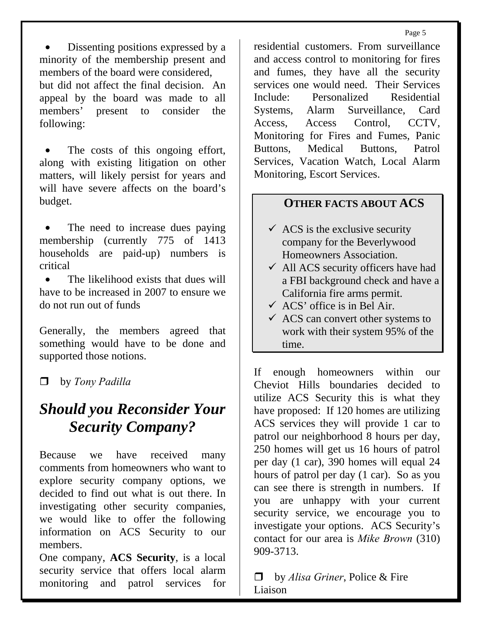• Dissenting positions expressed by a minority of the membership present and members of the board were considered,

but did not affect the final decision. An appeal by the board was made to all members' present to consider the following:

The costs of this ongoing effort, along with existing litigation on other matters, will likely persist for years and will have severe affects on the board's budget.

The need to increase dues paying membership (currently 775 of 1413 households are paid-up) numbers is critical

• The likelihood exists that dues will have to be increased in 2007 to ensure we do not run out of funds

Generally, the members agreed that something would have to be done and supported those notions.

by *Tony Padilla* 

### *Should you Reconsider Your Security Company?*

Because we have received many comments from homeowners who want to explore security company options, we decided to find out what is out there. In investigating other security companies, we would like to offer the following information on ACS Security to our members.

One company, **ACS Security**, is a local security service that offers local alarm monitoring and patrol services for

residential customers. From surveillance and access control to monitoring for fires and fumes, they have all the security services one would need. Their Services Include: Personalized Residential Systems, Alarm Surveillance, Card Access, Access Control, CCTV, Monitoring for Fires and Fumes, Panic Buttons, Medical Buttons, Patrol Services, Vacation Watch, Local Alarm Monitoring, Escort Services.

#### **OTHER FACTS ABOUT ACS**

- $\checkmark$  ACS is the exclusive security company for the Beverlywood Homeowners Association.
- $\checkmark$  All ACS security officers have had a FBI background check and have a California fire arms permit.
- $\checkmark$  ACS' office is in Bel Air.
- $\checkmark$  ACS can convert other systems to work with their system 95% of the time.

If enough homeowners within our Cheviot Hills boundaries decided to utilize ACS Security this is what they have proposed: If 120 homes are utilizing ACS services they will provide 1 car to patrol our neighborhood 8 hours per day, 250 homes will get us 16 hours of patrol per day (1 car), 390 homes will equal 24 hours of patrol per day (1 car). So as you can see there is strength in numbers. If you are unhappy with your current security service, we encourage you to investigate your options. ACS Security's contact for our area is *Mike Brown* (310) 909-3713.

 by *Alisa Griner*, Police & Fire Liaison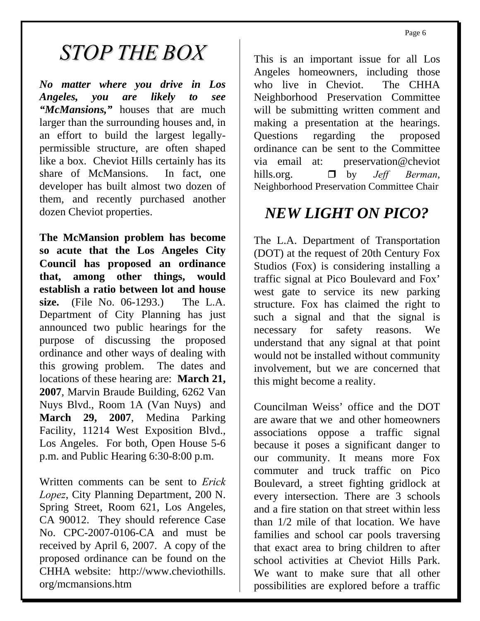Page 6

# *STOP THE BOX*

*No matter where you drive in Los Angeles, you are likely to see "McMansions,"* houses that are much larger than the surrounding houses and, in an effort to build the largest legallypermissible structure, are often shaped like a box. Cheviot Hills certainly has its share of McMansions. In fact, one developer has built almost two dozen of them, and recently purchased another dozen Cheviot properties.

**The McMansion problem has become so acute that the Los Angeles City Council has proposed an ordinance that, among other things, would establish a ratio between lot and house size.** (File No. 06-1293.) The L.A. Department of City Planning has just announced two public hearings for the purpose of discussing the proposed ordinance and other ways of dealing with this growing problem. The dates and locations of these hearing are: **March 21, 2007**, Marvin Braude Building, 6262 Van Nuys Blvd., Room 1A (Van Nuys) and **March 29, 2007**, Medina Parking Facility, 11214 West Exposition Blvd., Los Angeles. For both, Open House 5-6 p.m. and Public Hearing 6:30-8:00 p.m.

Written comments can be sent to *Erick Lopez*, City Planning Department, 200 N. Spring Street, Room 621, Los Angeles, CA 90012. They should reference Case No. CPC-2007-0106-CA and must be received by April 6, 2007. A copy of the proposed ordinance can be found on the CHHA website: http://www.cheviothills. org/mcmansions.htm

This is an important issue for all Los Angeles homeowners, including those who live in Cheviot. The CHHA Neighborhood Preservation Committee will be submitting written comment and making a presentation at the hearings. Questions regarding the proposed ordinance can be sent to the Committee via email at: preservation@cheviot hills.org.  $\Box$  by *Jeff Berman*, Neighborhood Preservation Committee Chair

### *NEW LIGHT ON PICO?*

The L.A. Department of Transportation (DOT) at the request of 20th Century Fox Studios (Fox) is considering installing a traffic signal at Pico Boulevard and Fox' west gate to service its new parking structure. Fox has claimed the right to such a signal and that the signal is necessary for safety reasons. We understand that any signal at that point would not be installed without community involvement, but we are concerned that this might become a reality.

Councilman Weiss' office and the DOT are aware that we and other homeowners associations oppose a traffic signal because it poses a significant danger to our community. It means more Fox commuter and truck traffic on Pico Boulevard, a street fighting gridlock at every intersection. There are 3 schools and a fire station on that street within less than 1/2 mile of that location. We have families and school car pools traversing that exact area to bring children to after school activities at Cheviot Hills Park. We want to make sure that all other possibilities are explored before a traffic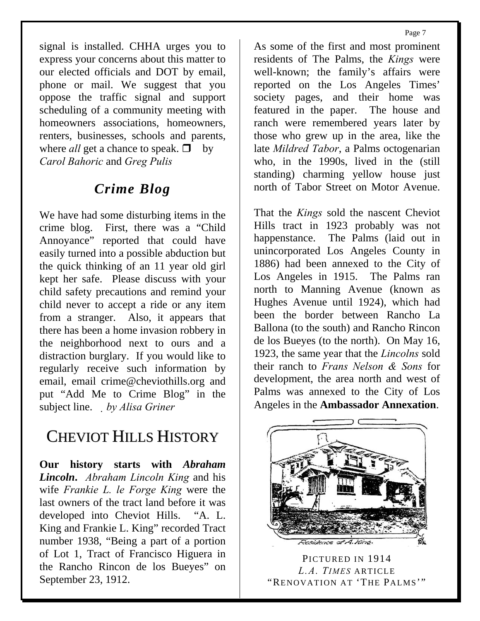signal is installed. CHHA urges you to express your concerns about this matter to our elected officials and DOT by email, phone or mail. We suggest that you oppose the traffic signal and support scheduling of a community meeting with homeowners associations, homeowners, renters, businesses, schools and parents, where *all* get a chance to speak.  $\Box$  by *Carol Bahoric* and *Greg Pulis* 

### *Crime Blog*

We have had some disturbing items in the crime blog. First, there was a "Child Annoyance" reported that could have easily turned into a possible abduction but the quick thinking of an 11 year old girl kept her safe. Please discuss with your child safety precautions and remind your child never to accept a ride or any item from a stranger. Also, it appears that there has been a home invasion robbery in the neighborhood next to ours and a distraction burglary. If you would like to regularly receive such information by email, email crime@cheviothills.org and put "Add Me to Crime Blog" in the subject line. *by Alisa Griner* 

### CHEVIOT HILLS HISTORY

**Our history starts with** *Abraham Lincoln***.** *Abraham Lincoln King* and his wife *Frankie L. le Forge King* were the last owners of the tract land before it was developed into Cheviot Hills. "A. L. King and Frankie L. King" recorded Tract number 1938, "Being a part of a portion of Lot 1, Tract of Francisco Higuera in the Rancho Rincon de los Bueyes" on September 23, 1912.

As some of the first and most prominent residents of The Palms, the *Kings* were well-known; the family's affairs were reported on the Los Angeles Times' society pages, and their home was featured in the paper. The house and ranch were remembered years later by those who grew up in the area, like the late *Mildred Tabor*, a Palms octogenarian who, in the 1990s, lived in the (still standing) charming yellow house just north of Tabor Street on Motor Avenue.

That the *Kings* sold the nascent Cheviot Hills tract in 1923 probably was not happenstance. The Palms (laid out in unincorporated Los Angeles County in 1886) had been annexed to the City of Los Angeles in 1915. The Palms ran north to Manning Avenue (known as Hughes Avenue until 1924), which had been the border between Rancho La Ballona (to the south) and Rancho Rincon de los Bueyes (to the north). On May 16, 1923, the same year that the *Lincolns* sold their ranch to *Frans Nelson & Sons* for development, the area north and west of Palms was annexed to the City of Los Angeles in the **Ambassador Annexation**.



PICTURED IN 1914 *L.A. TIMES* ARTICLE "RENOVATION AT 'THE PALMS'"